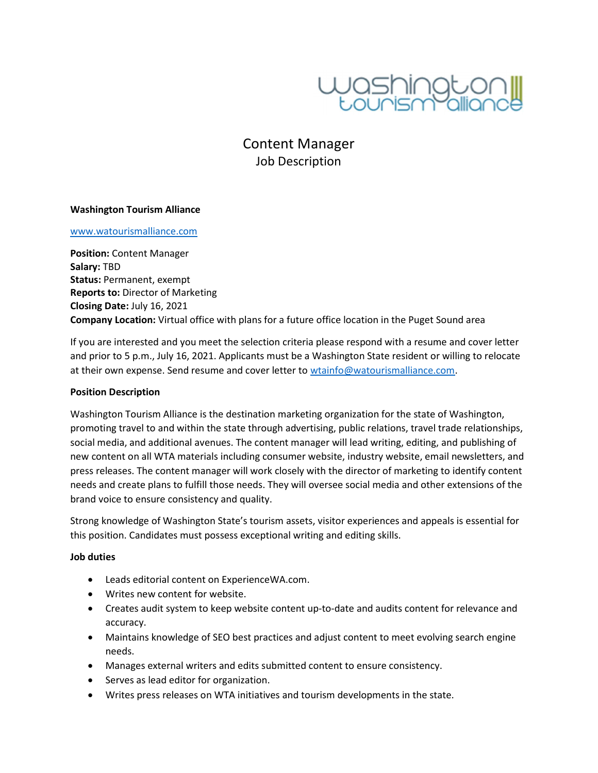

Content Manager Job Description

### Washington Tourism Alliance

#### www.watourismalliance.com

Position: Content Manager Salary: TBD Status: Permanent, exempt Reports to: Director of Marketing Closing Date: July 16, 2021 Company Location: Virtual office with plans for a future office location in the Puget Sound area

If you are interested and you meet the selection criteria please respond with a resume and cover letter and prior to 5 p.m., July 16, 2021. Applicants must be a Washington State resident or willing to relocate at their own expense. Send resume and cover letter to wtainfo@watourismalliance.com.

#### Position Description

Washington Tourism Alliance is the destination marketing organization for the state of Washington, promoting travel to and within the state through advertising, public relations, travel trade relationships, social media, and additional avenues. The content manager will lead writing, editing, and publishing of new content on all WTA materials including consumer website, industry website, email newsletters, and press releases. The content manager will work closely with the director of marketing to identify content needs and create plans to fulfill those needs. They will oversee social media and other extensions of the brand voice to ensure consistency and quality.

Strong knowledge of Washington State's tourism assets, visitor experiences and appeals is essential for this position. Candidates must possess exceptional writing and editing skills.

### Job duties

- Leads editorial content on ExperienceWA.com.
- Writes new content for website.
- Creates audit system to keep website content up-to-date and audits content for relevance and accuracy.
- Maintains knowledge of SEO best practices and adjust content to meet evolving search engine needs.
- Manages external writers and edits submitted content to ensure consistency.
- Serves as lead editor for organization.
- Writes press releases on WTA initiatives and tourism developments in the state.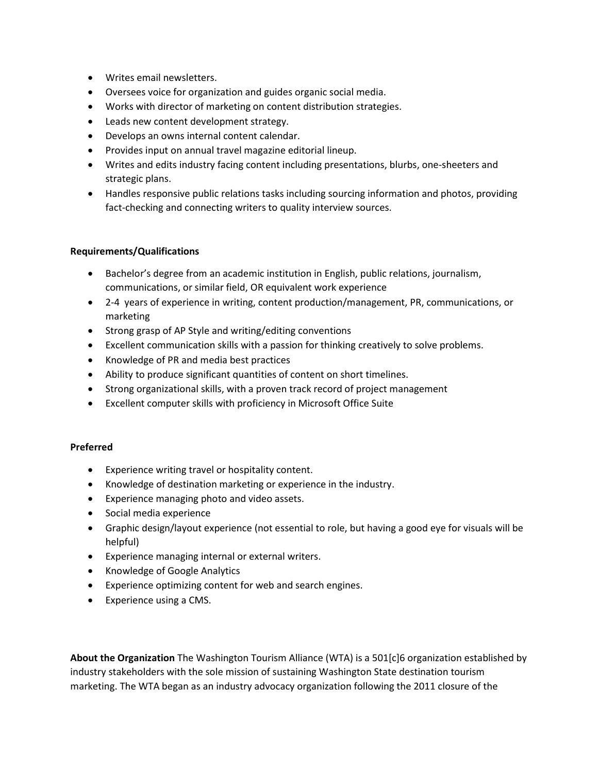- Writes email newsletters.
- Oversees voice for organization and guides organic social media.
- Works with director of marketing on content distribution strategies.
- Leads new content development strategy.
- Develops an owns internal content calendar.
- Provides input on annual travel magazine editorial lineup.
- Writes and edits industry facing content including presentations, blurbs, one-sheeters and strategic plans.
- Handles responsive public relations tasks including sourcing information and photos, providing fact-checking and connecting writers to quality interview sources.

# Requirements/Qualifications

- Bachelor's degree from an academic institution in English, public relations, journalism, communications, or similar field, OR equivalent work experience
- 2-4 years of experience in writing, content production/management, PR, communications, or marketing
- Strong grasp of AP Style and writing/editing conventions
- Excellent communication skills with a passion for thinking creatively to solve problems.
- Knowledge of PR and media best practices
- Ability to produce significant quantities of content on short timelines.
- Strong organizational skills, with a proven track record of project management
- Excellent computer skills with proficiency in Microsoft Office Suite

## Preferred

- Experience writing travel or hospitality content.
- Knowledge of destination marketing or experience in the industry.
- Experience managing photo and video assets.
- Social media experience
- Graphic design/layout experience (not essential to role, but having a good eye for visuals will be helpful)
- Experience managing internal or external writers.
- Knowledge of Google Analytics
- Experience optimizing content for web and search engines.
- Experience using a CMS.

About the Organization The Washington Tourism Alliance (WTA) is a 501[c]6 organization established by industry stakeholders with the sole mission of sustaining Washington State destination tourism marketing. The WTA began as an industry advocacy organization following the 2011 closure of the